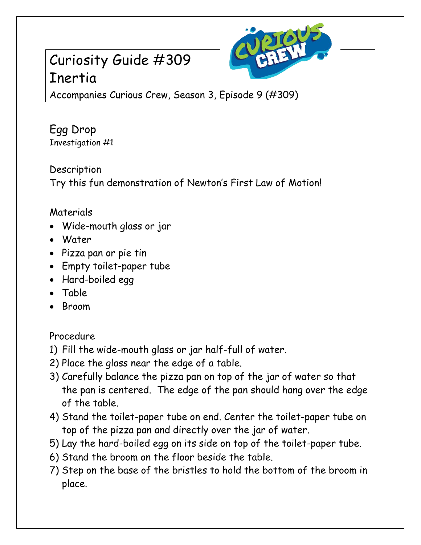## Curiosity Guide #309 Inertia



Accompanies Curious Crew, Season 3, Episode 9 (#309)

Egg Drop Investigation #1

Description Try this fun demonstration of Newton's First Law of Motion!

## Materials

- Wide-mouth glass or jar
- Water
- Pizza pan or pie tin
- Empty toilet-paper tube
- Hard-boiled egg
- Table
- Broom

## Procedure

- 1) Fill the wide-mouth glass or jar half-full of water.
- 2) Place the glass near the edge of a table.
- 3) Carefully balance the pizza pan on top of the jar of water so that the pan is centered. The edge of the pan should hang over the edge of the table.
- 4) Stand the toilet-paper tube on end. Center the toilet-paper tube on top of the pizza pan and directly over the jar of water.
- 5) Lay the hard-boiled egg on its side on top of the toilet-paper tube.
- 6) Stand the broom on the floor beside the table.
- 7) Step on the base of the bristles to hold the bottom of the broom in place.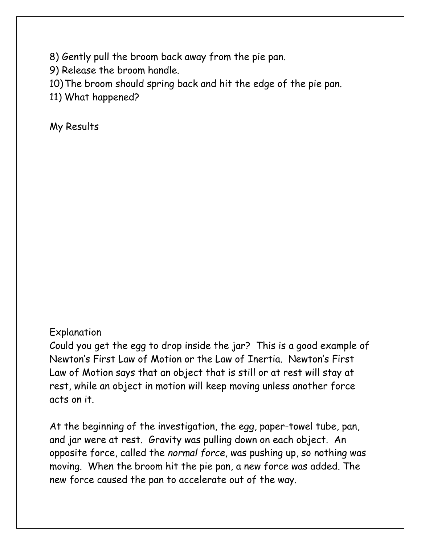8) Gently pull the broom back away from the pie pan.

9) Release the broom handle.

10)The broom should spring back and hit the edge of the pie pan.

11) What happened?

My Results

## Explanation

Could you get the egg to drop inside the jar? This is a good example of Newton's First Law of Motion or the Law of Inertia. Newton's First Law of Motion says that an object that is still or at rest will stay at rest, while an object in motion will keep moving unless another force acts on it.

At the beginning of the investigation, the egg, paper-towel tube, pan, and jar were at rest. Gravity was pulling down on each object. An opposite force, called the *normal force*, was pushing up, so nothing was moving. When the broom hit the pie pan, a new force was added. The new force caused the pan to accelerate out of the way.